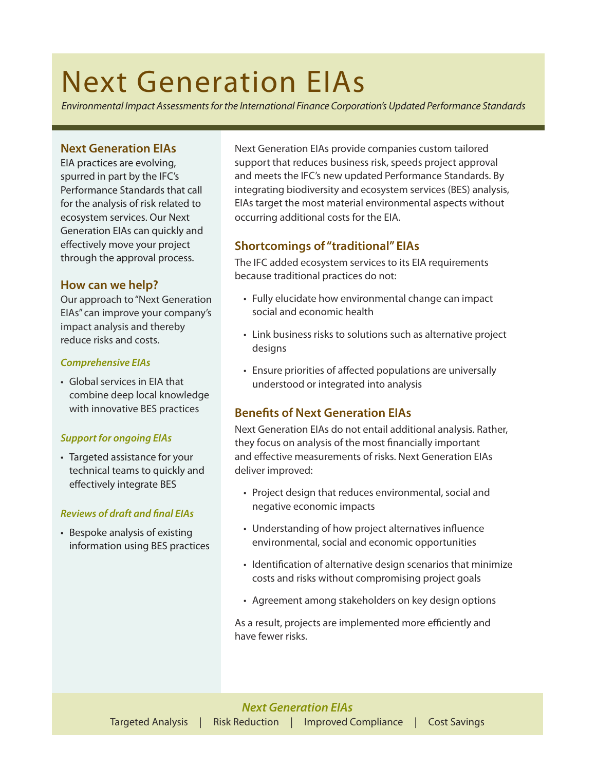# Next Generation EIAs

*Environmental Impact Assessments for the International Finance Corporation's Updated Performance Standards*

# **Next Generation EIAs**

EIA practices are evolving, spurred in part by the IFC's Performance Standards that call for the analysis of risk related to ecosystem services. Our Next Generation EIAs can quickly and effectively move your project through the approval process.

# **How can we help?**

Our approach to "Next Generation EIAs" can improve your company's impact analysis and thereby reduce risks and costs.

#### *Comprehensive EIAs*

• Global services in EIA that combine deep local knowledge with innovative BES practices

## *Support for ongoing EIAs*

• Targeted assistance for your technical teams to quickly and effectively integrate BES

## *Reviews of draft and final EIAs*

• Bespoke analysis of existing information using BES practices Next Generation EIAs provide companies custom tailored support that reduces business risk, speeds project approval and meets the IFC's new updated Performance Standards. By integrating biodiversity and ecosystem services (BES) analysis, EIAs target the most material environmental aspects without occurring additional costs for the EIA.

# **Shortcomings of "traditional" EIAs**

The IFC added ecosystem services to its EIA requirements because traditional practices do not:

- Fully elucidate how environmental change can impact social and economic health
- Link business risks to solutions such as alternative project designs
- Ensure priorities of affected populations are universally understood or integrated into analysis

# **Benefits of Next Generation EIAs**

Next Generation EIAs do not entail additional analysis. Rather, they focus on analysis of the most financially important and effective measurements of risks. Next Generation EIAs deliver improved:

- Project design that reduces environmental, social and negative economic impacts
- Understanding of how project alternatives influence environmental, social and economic opportunities
- Identification of alternative design scenarios that minimize costs and risks without compromising project goals
- Agreement among stakeholders on key design options

As a result, projects are implemented more efficiently and have fewer risks.